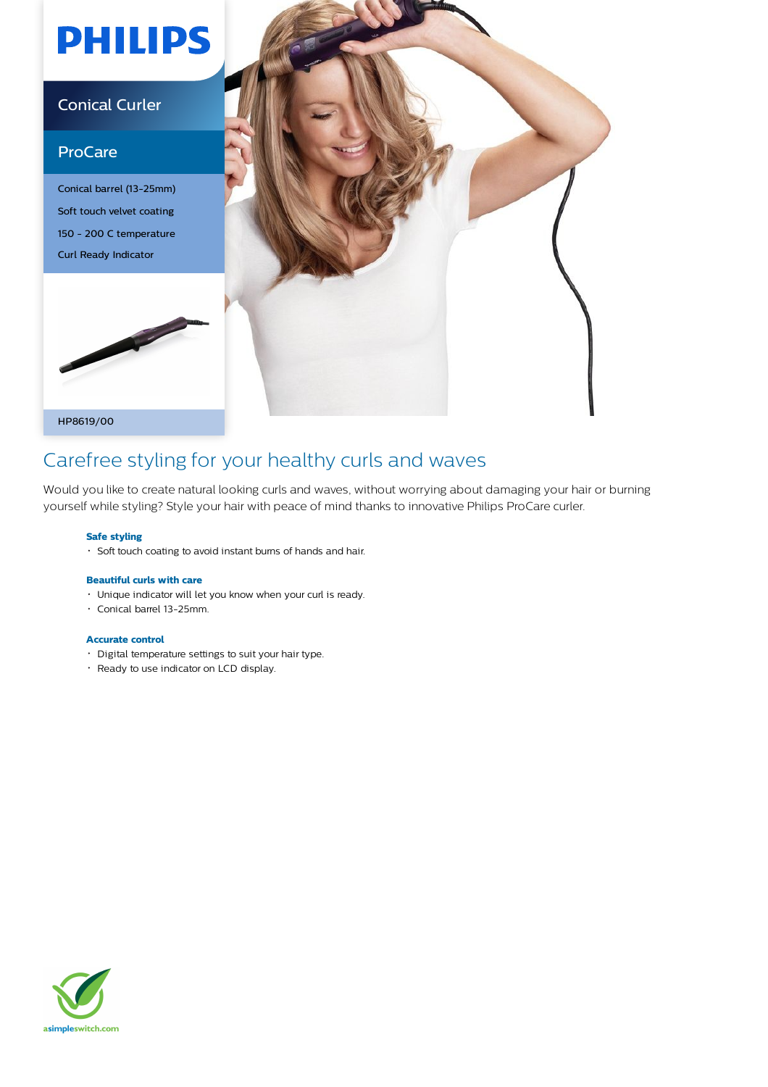# **PHILIPS**

### Conical Curler

### ProCare

Conical barrel (13-25mm) Soft touch velvet coating 150 - 200 C temperature Curl Ready Indicator





### HP8619/00

## Carefree styling for your healthy curls and waves

Would you like to create natural looking curls and waves, without worrying about damaging your hair or burning yourself while styling? Style your hair with peace of mind thanks to innovative Philips ProCare curler.

### **Safe styling**

Soft touch coating to avoid instant burns of hands and hair.

### **Beautiful curls with care**

- Unique indicator will let you know when your curl is ready.
- Conical barrel 13-25mm.

### **Accurate control**

- Digital temperature settings to suit your hair type.
- Ready to use indicator on LCD display.